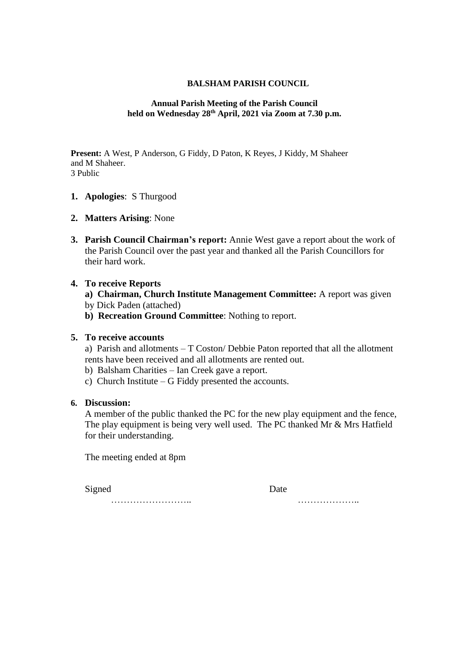# **BALSHAM PARISH COUNCIL**

# **Annual Parish Meeting of the Parish Council held on Wednesday 28th April, 2021 via Zoom at 7.30 p.m.**

**Present:** A West, P Anderson, G Fiddy, D Paton, K Reyes, J Kiddy, M Shaheer and M Shaheer. 3 Public

- **1. Apologies**: S Thurgood
- **2. Matters Arising**: None
- **3. Parish Council Chairman's report:** Annie West gave a report about the work of the Parish Council over the past year and thanked all the Parish Councillors for their hard work.

# **4. To receive Reports**

- **a) Chairman, Church Institute Management Committee:** A report was given
- by Dick Paden (attached)
- **b) Recreation Ground Committee**: Nothing to report.

# **5. To receive accounts**

a) Parish and allotments – T Coston/ Debbie Paton reported that all the allotment rents have been received and all allotments are rented out.

- b) Balsham Charities Ian Creek gave a report.
- c) Church Institute G Fiddy presented the accounts.

#### **6. Discussion:**

A member of the public thanked the PC for the new play equipment and the fence, The play equipment is being very well used. The PC thanked Mr & Mrs Hatfield for their understanding.

The meeting ended at 8pm

Signed Date

…………………….. ………………..